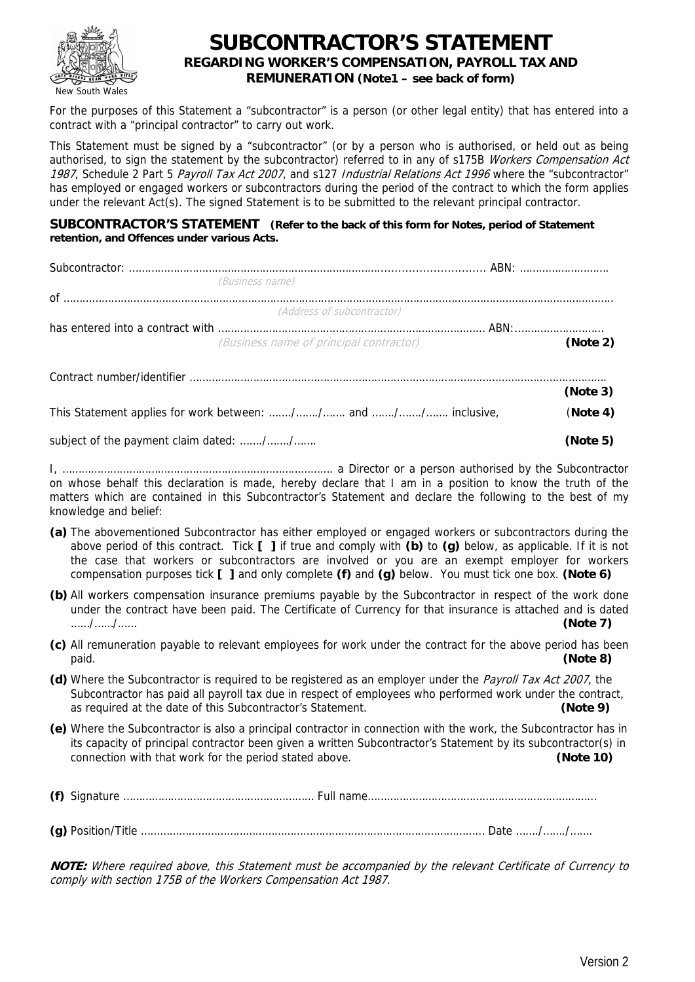

# **SUBCONTRACTOR'S STATEMENT REGARDING WORKER'S COMPENSATION, PAYROLL TAX AND REMUNERATION (Note1 – see back of form)**

For the purposes of this Statement a "subcontractor" is a person (or other legal entity) that has entered into a contract with a "principal contractor" to carry out work.

This Statement must be signed by a "subcontractor" (or by a person who is authorised, or held out as being authorised, to sign the statement by the subcontractor) referred to in any of s175B Workers Compensation Act 1987, Schedule 2 Part 5 Payroll Tax Act 2007, and s127 Industrial Relations Act 1996 where the "subcontractor" has employed or engaged workers or subcontractors during the period of the contract to which the form applies under the relevant Act(s). The signed Statement is to be submitted to the relevant principal contractor.

#### **SUBCONTRACTOR'S STATEMENT (Refer to the back of this form for Notes, period of Statement retention, and Offences under various Acts.**

|                                                               | (Business name)                         |          |
|---------------------------------------------------------------|-----------------------------------------|----------|
|                                                               |                                         |          |
|                                                               | (Address of subcontractor)              |          |
|                                                               |                                         |          |
|                                                               | (Business name of principal contractor) | (Note 2) |
|                                                               |                                         |          |
|                                                               |                                         | (Note 3) |
| This Statement applies for work between: // and // inclusive, |                                         | (Note 4) |
| subject of the payment claim dated: //                        |                                         | (Note 5) |

I, …………………………………………………………………………. a Director or a person authorised by the Subcontractor on whose behalf this declaration is made, hereby declare that I am in a position to know the truth of the matters which are contained in this Subcontractor's Statement and declare the following to the best of my knowledge and belief:

- **(a)** The abovementioned Subcontractor has either employed or engaged workers or subcontractors during the above period of this contract. Tick **[ ]** if true and comply with **(b)** to **(g)** below, as applicable. If it is not the case that workers or subcontractors are involved or you are an exempt employer for workers compensation purposes tick **[ ]** and only complete **(f)** and **(g)** below. You must tick one box. **(Note 6)**
- **(b)** All workers compensation insurance premiums payable by the Subcontractor in respect of the work done under the contract have been paid. The Certificate of Currency for that insurance is attached and is dated ……/……/…… **(Note 7)**
- **(c)** All remuneration payable to relevant employees for work under the contract for the above period has been paid. **(Note 8)**
- **(d)** Where the Subcontractor is required to be registered as an employer under the Payroll Tax Act 2007, the Subcontractor has paid all payroll tax due in respect of employees who performed work under the contract, as required at the date of this Subcontractor's Statement. **(Note 9)**
- **(e)** Where the Subcontractor is also a principal contractor in connection with the work, the Subcontractor has in its capacity of principal contractor been given a written Subcontractor's Statement by its subcontractor(s) in connection with that work for the period stated above. **(Note 10)**

**(f)** Signature …………………………………………………… Full name……………………………………………………………… **(g)** Position/Title ……………………………………………………………………………………………… Date ……./……./…….

**NOTE:** Where required above, this Statement must be accompanied by the relevant Certificate of Currency to comply with section 175B of the Workers Compensation Act 1987.